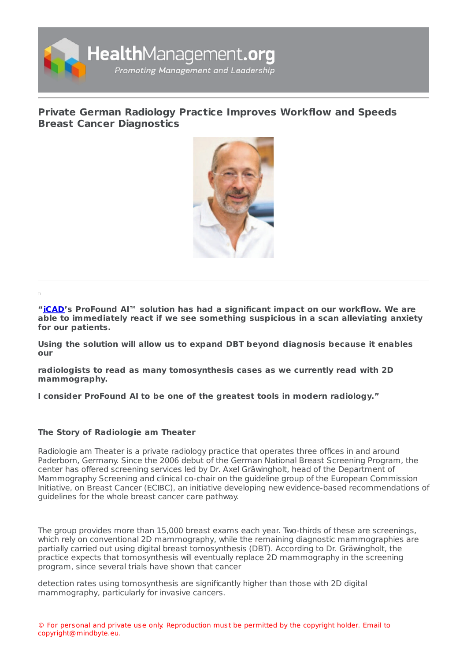

## **Private German Radiology Practice Improves Workflow and Speeds Breast Cancer [Diagnostics](https://www.healthmanagement.org/s/private-german-radiology-practice-improves-workflow-and-speeds-breast-cancer-diagnostics)**



**"[iCAD](https://healthmanagement.org/site/p/icad)'s ProFound AI™ solution has had a significant impact on our workflow. We are able to immediately react if we see something suspicious in a scan alleviating anxiety for our patients.**

**Using the solution will allow us to expand DBT beyond diagnosis because it enables our**

**radiologists to read as many tomosynthesis cases as we currently read with 2D mammography.**

**I consider ProFound AI to be one of the greatest tools in modern radiology."**

## **The Story of Radiologie am Theater**

Radiologie am Theater is a private radiology practice that operates three offices in and around Paderborn, Germany. Since the 2006 debut of the German National Breast Screening Program, the center has offered screening services led by Dr. Axel Gräwingholt, head of the Department of Mammography Screening and clinical co-chair on the guideline group of the European Commission Initiative, on Breast Cancer (ECIBC), an initiative developing new evidence-based recommendations of guidelines for the whole breast cancer care pathway.

The group provides more than 15,000 breast exams each year. Two-thirds of these are screenings, which rely on conventional 2D mammography, while the remaining diagnostic mammographies are partially carried out using digital breast tomosynthesis (DBT). According to Dr. Gräwingholt, the practice expects that tomosynthesis will eventually replace 2D mammography in the screening program, since several trials have shown that cancer

detection rates using tomosynthesis are significantly higher than those with 2D digital mammography, particularly for invasive cancers.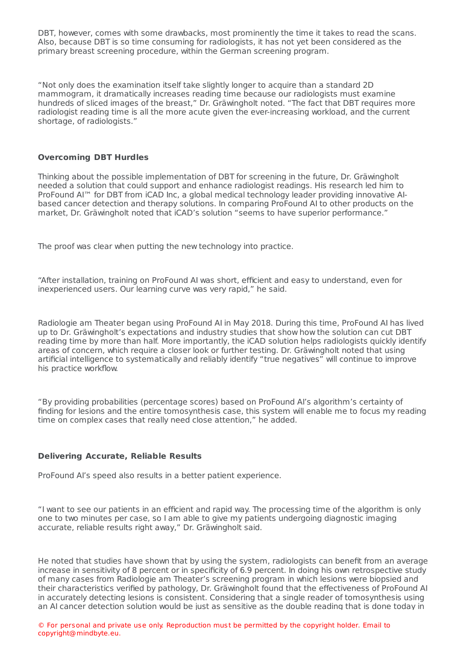DBT, however, comes with some drawbacks, most prominently the time it takes to read the scans. Also, because DBT is so time consuming for radiologists, it has not yet been considered as the primary breast screening procedure, within the German screening program.

"Not only does the examination itself take slightly longer to acquire than a standard 2D mammogram, it dramatically increases reading time because our radiologists must examine hundreds of sliced images of the breast," Dr. Gräwingholt noted. "The fact that DBT requires more radiologist reading time is all the more acute given the ever-increasing workload, and the current shortage, of radiologists."

## **Overcoming DBT Hurdles**

Thinking about the possible implementation of DBT for screening in the future, Dr. Gräwingholt needed a solution that could support and enhance radiologist readings. His research led him to ProFound AI™ for DBT from iCAD Inc, a global medical technology leader providing innovative AIbased cancer detection and therapy solutions. In comparing ProFound AI to other products on the market, Dr. Gräwingholt noted that iCAD's solution "seems to have superior performance."

The proof was clear when putting the new technology into practice.

"After installation, training on ProFound AI was short, efficient and easy to understand, even for inexperienced users. Our learning curve was very rapid," he said.

Radiologie am Theater began using ProFound AI in May 2018. During this time, ProFound AI has lived up to Dr. Gräwingholt's expectations and industry studies that show how the solution can cut DBT reading time by more than half. More importantly, the iCAD solution helps radiologists quickly identify areas of concern, which require a closer look or further testing. Dr. Gräwingholt noted that using artificial intelligence to systematically and reliably identify "true negatives" will continue to improve his practice workflow.

"By providing probabilities (percentage scores) based on ProFound AI's algorithm's certainty of finding for lesions and the entire tomosynthesis case, this system will enable me to focus my reading time on complex cases that really need close attention," he added.

## **Delivering Accurate, Reliable Results**

ProFound AI's speed also results in a better patient experience.

"I want to see our patients in an efficient and rapid way. The processing time of the algorithm is only one to two minutes per case, so I am able to give my patients undergoing diagnostic imaging accurate, reliable results right away," Dr. Gräwingholt said.

He noted that studies have shown that by using the system, radiologists can benefit from an average increase in sensitivity of 8 percent or in specificity of 6.9 percent. In doing his own retrospective study of many cases from Radiologie am Theater's screening program in which lesions were biopsied and their characteristics verified by pathology, Dr. Gräwingholt found that the effectiveness of ProFound AI in accurately detecting lesions is consistent. Considering that a single reader of tomosynthesis using an AI cancer detection solution would be just as sensitive as the double reading that is done today in

© For personal and private use only. Reproduction must be permitted by the copyright holder. Email to copyright@mindbyte.eu.